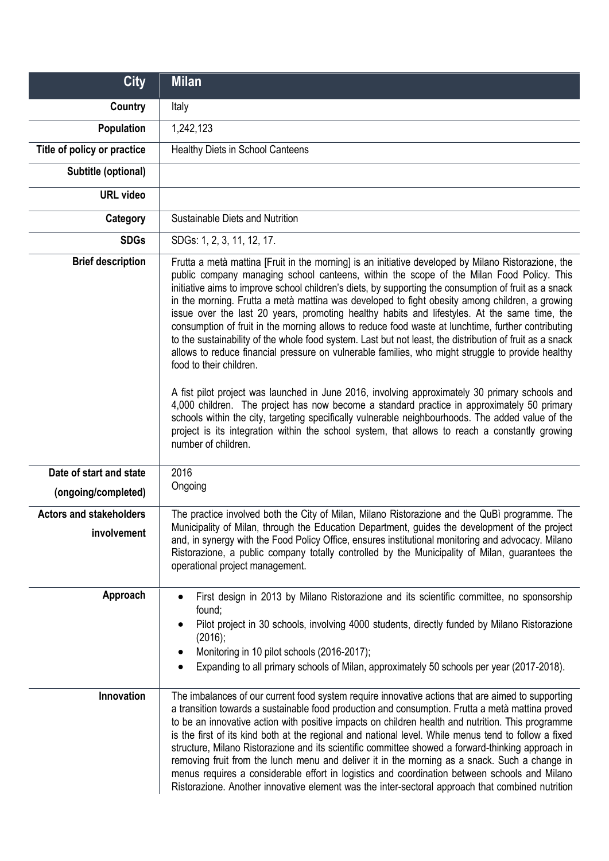| <b>City</b>                                    | <b>Milan</b>                                                                                                                                                                                                                                                                                                                                                                                                                                                                                                                                                                                                                                                                                                                                                                                                                                                                                                                                                                                                                                                                                                                                                                                                                                                                               |
|------------------------------------------------|--------------------------------------------------------------------------------------------------------------------------------------------------------------------------------------------------------------------------------------------------------------------------------------------------------------------------------------------------------------------------------------------------------------------------------------------------------------------------------------------------------------------------------------------------------------------------------------------------------------------------------------------------------------------------------------------------------------------------------------------------------------------------------------------------------------------------------------------------------------------------------------------------------------------------------------------------------------------------------------------------------------------------------------------------------------------------------------------------------------------------------------------------------------------------------------------------------------------------------------------------------------------------------------------|
| Country                                        | Italy                                                                                                                                                                                                                                                                                                                                                                                                                                                                                                                                                                                                                                                                                                                                                                                                                                                                                                                                                                                                                                                                                                                                                                                                                                                                                      |
| Population                                     | 1,242,123                                                                                                                                                                                                                                                                                                                                                                                                                                                                                                                                                                                                                                                                                                                                                                                                                                                                                                                                                                                                                                                                                                                                                                                                                                                                                  |
| Title of policy or practice                    | Healthy Diets in School Canteens                                                                                                                                                                                                                                                                                                                                                                                                                                                                                                                                                                                                                                                                                                                                                                                                                                                                                                                                                                                                                                                                                                                                                                                                                                                           |
| Subtitle (optional)                            |                                                                                                                                                                                                                                                                                                                                                                                                                                                                                                                                                                                                                                                                                                                                                                                                                                                                                                                                                                                                                                                                                                                                                                                                                                                                                            |
| <b>URL</b> video                               |                                                                                                                                                                                                                                                                                                                                                                                                                                                                                                                                                                                                                                                                                                                                                                                                                                                                                                                                                                                                                                                                                                                                                                                                                                                                                            |
| Category                                       | Sustainable Diets and Nutrition                                                                                                                                                                                                                                                                                                                                                                                                                                                                                                                                                                                                                                                                                                                                                                                                                                                                                                                                                                                                                                                                                                                                                                                                                                                            |
| <b>SDGs</b>                                    | SDGs: 1, 2, 3, 11, 12, 17.                                                                                                                                                                                                                                                                                                                                                                                                                                                                                                                                                                                                                                                                                                                                                                                                                                                                                                                                                                                                                                                                                                                                                                                                                                                                 |
| <b>Brief description</b>                       | Frutta a metà mattina [Fruit in the morning] is an initiative developed by Milano Ristorazione, the<br>public company managing school canteens, within the scope of the Milan Food Policy. This<br>initiative aims to improve school children's diets, by supporting the consumption of fruit as a snack<br>in the morning. Frutta a metà mattina was developed to fight obesity among children, a growing<br>issue over the last 20 years, promoting healthy habits and lifestyles. At the same time, the<br>consumption of fruit in the morning allows to reduce food waste at lunchtime, further contributing<br>to the sustainability of the whole food system. Last but not least, the distribution of fruit as a snack<br>allows to reduce financial pressure on vulnerable families, who might struggle to provide healthy<br>food to their children.<br>A fist pilot project was launched in June 2016, involving approximately 30 primary schools and<br>4,000 children. The project has now become a standard practice in approximately 50 primary<br>schools within the city, targeting specifically vulnerable neighbourhoods. The added value of the<br>project is its integration within the school system, that allows to reach a constantly growing<br>number of children. |
| Date of start and state<br>(ongoing/completed) | 2016<br>Ongoing                                                                                                                                                                                                                                                                                                                                                                                                                                                                                                                                                                                                                                                                                                                                                                                                                                                                                                                                                                                                                                                                                                                                                                                                                                                                            |
| <b>Actors and stakeholders</b><br>involvement  | The practice involved both the City of Milan, Milano Ristorazione and the QuBi programme. The<br>Municipality of Milan, through the Education Department, guides the development of the project<br>and, in synergy with the Food Policy Office, ensures institutional monitoring and advocacy. Milano<br>Ristorazione, a public company totally controlled by the Municipality of Milan, guarantees the<br>operational project management.                                                                                                                                                                                                                                                                                                                                                                                                                                                                                                                                                                                                                                                                                                                                                                                                                                                 |
| Approach<br>Innovation                         | First design in 2013 by Milano Ristorazione and its scientific committee, no sponsorship<br>found;<br>Pilot project in 30 schools, involving 4000 students, directly funded by Milano Ristorazione<br>(2016);<br>Monitoring in 10 pilot schools (2016-2017);<br>Expanding to all primary schools of Milan, approximately 50 schools per year (2017-2018).<br>The imbalances of our current food system require innovative actions that are aimed to supporting                                                                                                                                                                                                                                                                                                                                                                                                                                                                                                                                                                                                                                                                                                                                                                                                                             |
|                                                | a transition towards a sustainable food production and consumption. Frutta a metà mattina proved<br>to be an innovative action with positive impacts on children health and nutrition. This programme<br>is the first of its kind both at the regional and national level. While menus tend to follow a fixed<br>structure, Milano Ristorazione and its scientific committee showed a forward-thinking approach in<br>removing fruit from the lunch menu and deliver it in the morning as a snack. Such a change in<br>menus requires a considerable effort in logistics and coordination between schools and Milano<br>Ristorazione. Another innovative element was the inter-sectoral approach that combined nutrition                                                                                                                                                                                                                                                                                                                                                                                                                                                                                                                                                                   |